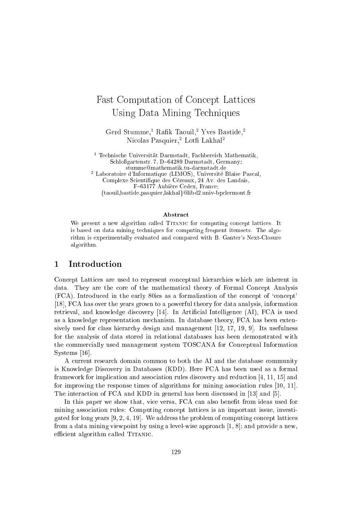# Fast Computation of Concept Lattices Using Data Mining Techniques

Gerd Stumme,<sup>1</sup> Rafik Taouil,<sup>2</sup> Yves Bastide,<sup>2</sup> Nicolas Pasquier,<sup>2</sup> Lotfi Lakhal<sup>2</sup>

<sup>1</sup> Technische Universität Darmstadt, Fachbereich Mathematik, Schloßgartenstr. 7, D-64289 Darmstadt, Germany: stumme@mathematik.tu-darmstadt.de <sup>2</sup> Laboratoire d'Informatique (LIMOS), Université Blaise Pascal, Complexe Scientifique des Cézeaux, 24 Av. des Landais,

F-63177 Aubière Cedex, France; {taouil, bastide, pasquier, lakhal} @libd2.univ-bpclermont.fr

#### Abstract

We present a new algorithm called TITANIC for computing concept lattices. It is based on data mining techniques for computing frequent itemsets. The algorithm is experimentally evaluated and compared with B. Ganter's Next-Closure algorithm.

#### Introduction 1

Concept Lattices are used to represent conceptual hierarchies which are inherent in data. They are the core of the mathematical theory of Formal Concept Analysis (FCA). Introduced in the early 80ies as a formalization of the concept of 'concept' [18], FCA has over the years grown to a powerful theory for data analysis, information retrieval, and knowledge discovery [14]. In Artificial Intelligence (AI), FCA is used as a knowledge representation mechanism. In database theory, FCA has been extensively used for class hierarchy design and management  $[12, 17, 19, 9]$ . Its usefulness for the analysis of data stored in relational databases has been demonstrated with the commercially used management system TOSCANA for Conceptual Information Systems  $[16]$ .

A current research domain common to both the AI and the database community is Knowledge Discovery in Databases (KDD). Here FCA has been used as a formal framework for implication and association rules discovery and reduction  $[4, 11, 15]$  and for improving the response times of algorithms for mining association rules [10, 11]. The interaction of FCA and KDD in general has been discussed in [13] and [5].

In this paper we show that, vice versa, FCA can also benefit from ideas used for mining association rules: Computing concept lattices is an important issue, investigated for long years [9, 2, 4, 19]. We address the problem of computing concept lattices from a data mining viewpoint by using a level-wise approach  $[1, 8]$ ; and provide a new, efficient algorithm called TITANIC.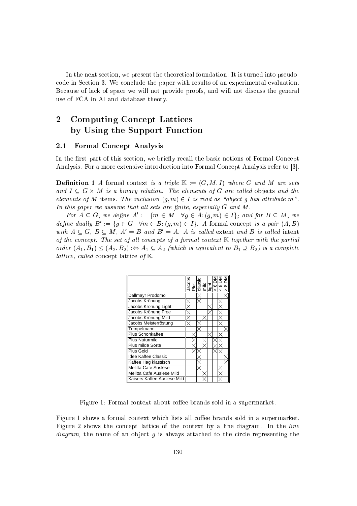In the next section, we present the theoretical foundation. It is turned into pseudoode in Se
tion 3. We on
lude the paper with results of an experimental evaluation. Because of lack of space we will not provide proofs, and will not discuss the general use of FCA in AI and database theory.

# 2 Computing Concept Lattices by Using the Support Function

### 2.1 Formal Con
ept Analysis

In the first part of this section, we briefly recall the basic notions of Formal Concept Analysis. For a more extensive introduction into Formal Concept Analysis refer to [3].

**Definition 1** A formal context is a triple  $\mathbb{K} := (G, M, I)$  where G and M are sets and I G - G - The elements of G are the elements of G are the elements of the elements of the state of the st elements of M items. The inclusion  $(g, m) \in I$  is read as "object g has attribute m". In this paper we assume that all sets are finite, especially  $G$  and  $M$ .

For  $A \subseteq G$ , we define  $A := \{m \in M \mid \forall q \in A : (q, m) \in I \}$ ; and for  $B \subseteq M$ , we define quality  $B := \{q \in G \mid \forall m \in B : (q, m) \in I \}$ . A formal concept is a pair  $(A, B)$ with  $A \subseteq G$ ,  $B \subseteq M$ ,  $A' = B$  and  $B' = A$ . A is called extent and B is called intent of the concept. The set of all concepts of a formal context  $K$  together with the partial order  $(A_1, B_1) \leq (A_2, B_2)$   $\Rightarrow$   $A_1 \subseteq A_2$  (which is equivalent to  $B_1 \supseteq B_2$ ) is a complete lattice, called concept lattice of  $K$ .

|                             |  |  |  | Aacobs<br>Plus<br>Plusies<br>Light<br>Light<br>V 8 DM<br>V 8 DM<br>V 8 DM |  |
|-----------------------------|--|--|--|---------------------------------------------------------------------------|--|
| Dallmayr Prodomo            |  |  |  |                                                                           |  |
| Jacobs Krönung              |  |  |  |                                                                           |  |
| Jacobs Krönung Light        |  |  |  |                                                                           |  |
| Jacobs Krönung Free         |  |  |  |                                                                           |  |
| Jacobs Krönung Mild         |  |  |  |                                                                           |  |
| Jacobs Meisterröstung       |  |  |  |                                                                           |  |
| Tempelmann                  |  |  |  |                                                                           |  |
| <b>Plus Schonkaffee</b>     |  |  |  |                                                                           |  |
| <b>Plus Naturmild</b>       |  |  |  |                                                                           |  |
| Plus milde Sorte            |  |  |  |                                                                           |  |
| Plus Gold                   |  |  |  |                                                                           |  |
| Idee Kaffee Classic         |  |  |  |                                                                           |  |
| Kaffee Hag klassisch        |  |  |  |                                                                           |  |
| Melitta Cafe Auslese        |  |  |  |                                                                           |  |
| Melitta Cafe Auslese Mild   |  |  |  |                                                                           |  |
| Kaisers Kaffee Auslese Mild |  |  |  |                                                                           |  |

Figure 1: Formal context about coffee brands sold in a supermarket.

Figure 1 shows a formal context which lists all coffee brands sold in a supermarket. Figure 2 shows the concept lattice of the context by a line diagram. In the *line*  $diagram$ , the name of an object  $g$  is always attached to the circle representing the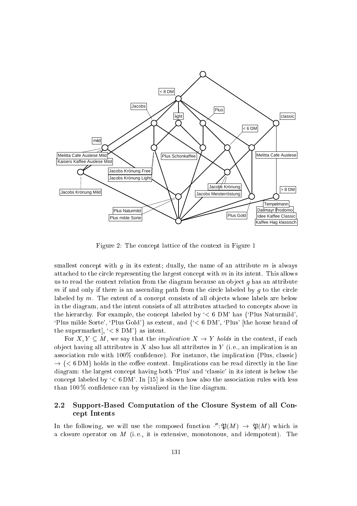

Figure 2: The concept lattice of the context in Figure 1

smallest concept with  $q$  in its extent; dually, the name of an attribute  $m$  is always attached to the circle representing the largest concept with  $m$  in its intent. This allows us to read the context relation from the diagram because an object  $g$  has an attribute m if and only if there is an ascending path from the circle labeled by q to the circle labeled by  $m$ . The extent of a concept consists of all objects whose labels are below in the diagram, and the intent consists of all attributes attached to concepts above in the hierarchy. For example, the concept labeled by  $\leq 6$  DM' has  $\{$ <sup>c</sup>Plus Naturmild', 'Plus milde Sorte', 'Plus Gold'} as extent, and  $\{\leq 6 \text{ DM'}\}$ , 'Plus' [the house brand of the supermarket,  $\langle \langle 8 \text{ DM} \rangle \rangle$  as intent.

For X,  $Y \subseteq M$ , we say that the *implication*  $X \to Y$  holds in the context, if each object having all attributes in  $X$  also has all attributes in  $Y$  (i.e., an implication is an association rule with  $100\%$  confidence). For instance, the implication  $\{Plus, classic\}$ . The first interest in the line of the line in the line in the line of the line  $\alpha$  and  $\alpha$  in the line diagram: the largest concept having both 'Plus' and 'classic' in its intent is below the concept labeled by  $\leq 6$  DM'. In [15] is shown how also the association rules with less than  $100\%$  confidence can by visualized in the line diagram.

# 2.2 Support-Based Computation of the Closure System of all Con ept Intents

In the following, we will use the composed function  $\cdot : \mathcal{D}(M) \rightarrow \mathcal{D}(M)$  which is a closure operator on  $M$  (i.e., it is extensive, monotonous, and idempotent). The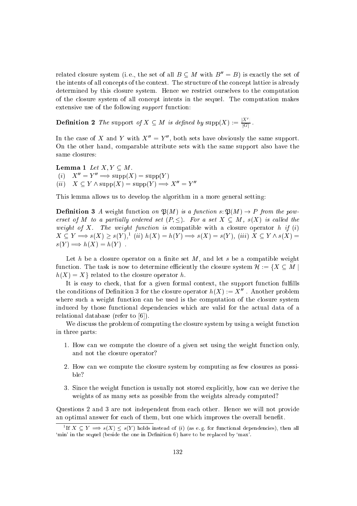related closure system (i.e., the set of all  $B \subseteq M$  with  $B'' = B$ ) is exactly the set of the intents of all concepts of the context. The structure of the concept lattice is already determined by this losure system. Hen
e we restri
t ourselves to the omputation of the losure system of all on
ept intents in the sequel. The omputation makes extensive use of the following *support* function:

**Definition 2** The support of  $X \subseteq M$  is defined by  $\text{supp}(X) := \frac{|\mathcal{X}|}{|\mathcal{X}|}$  $|G|$ 

In the case of  $\Lambda$  and  $\overline{Y}$  with  $\Lambda = Y$ , both sets have obviously the same support. On the other hand, omparable attribute sets with the same support also have the same closures:

**Lemma 1** Let  $X, Y \subseteq M$ . (i)  $\Lambda = Y \implies \text{supp}(\Lambda) = \text{supp}(Y)$ (ii)  $A \subseteq I$  / suppear  $\Rightarrow$  suppear  $\Rightarrow$   $A = I$ 

This lemma allows us to develop the algorithm in a more general setting:

**Definition 3** A weight function on  $\mathfrak{P}(M)$  is a function s:  $\mathfrak{P}(M) \to P$  from the powerset of M to a partially ordered set  $(P, \leq)$ . For a set  $X \subseteq M$ ,  $s(X)$  is called the weight of X. The weight function is compatible with a closure operator h if (i)  $\Lambda \subseteq I \implies s(\Lambda) \geq s(T), \quad (ii) \; h(\Lambda) \equiv h(T) \implies s(\Lambda) \equiv s(T), \; (iii) \; \Lambda \subseteq I \; \wedge s(\Lambda) \equiv$  $s(Y) \Longrightarrow h(X) = h(Y)$ .

Let h be a closure operator on a finite set  $M$ , and let s be a compatible weight function. The task is now to determine efficiently the closure system  $\mathcal{H} := \{ X \subseteq M \mid$  $h(X) = X$  related to the closure operator h.

It is easy to check, that for a given formal context, the support function fulfills the conditions of Definition 3 for the closure operator  $h(X) := X$ . Another problem where such a weight function can be used is the computation of the closure system indu
ed by those fun
tional dependen
ies whi
h are valid for the a
tual data of a relational database (refer to  $[6]$ ).

We discuss the problem of computing the closure system by using a weight function in three parts:

- 1. How an we ompute the losure of a given set using the weight fun
tion only, and not the losure operator?
- 2. How an we ompute the losure system by omputing as few losures as possible?
- 3. Sin
e the weight fun
tion is usually not stored expli
itly, how an we derive the weights of as many sets as possible from the weights already computed?

Questions 2 and 3 are not independent from ea
h other. Hen
e we will not provide an optimal answer for each of them, but one which improves the overall benefit.

If  $X \subseteq Y \implies s(X) \leq s(Y)$  holds instead of (i) (as e.g. for functional dependencies), then all 'min' in the sequel (beside the one in Definition 6) have to be replaced by 'max'.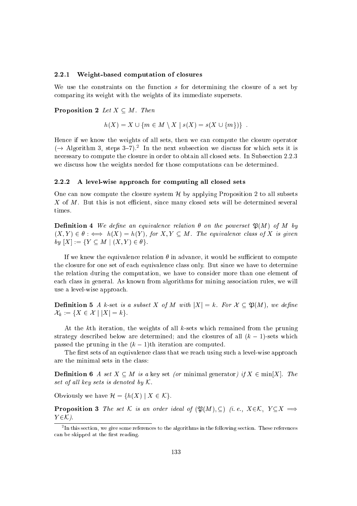#### 2.2.1 Weight-based omputation of losures

We use the constraints on the function  $s$  for determining the closure of a set by omparing its weight with the weights of its immediate supersets.

#### **Proposition 2** Let  $X \subseteq M$ . Then

$$
h(X) = X \cup \{ m \in M \setminus X \mid s(X) = s(X \cup \{ m \}) \} .
$$

Hen
e if we know the weights of all sets, then we an ompute the losure operator  $\eta \to \text{Algorithm } 3$ , steps  $3^{-}t$ ). In the next subsection we discuss for which sets it is necessary to compute the closure in order to obtain all closed sets. In Subsection 2.2.3 we discuss how the weights needed for those computations can be determined.

#### 2.2.2 A level-wise approach for computing all closed sets

One can now compute the closure system  $H$  by applying Proposition 2 to all subsets X of M. But this is not efficient, since many closed sets will be determined several times.

**Definition 4** We define an equivalence relation  $\theta$  on the powerset  $\mathfrak{P}(M)$  of M by  $(X, Y) \in \theta : \iff h(X) = h(Y)$ , for  $X, Y \subseteq M$ . The equivalence class of X is given by  $[X] := \{ Y \subseteq M \mid (X, Y) \in \theta \}.$ 

If we knew the equivalence relation  $\theta$  in advance, it would be sufficient to compute the closure for one set of each equivalence class only. But since we have to determine the relation during the omputation, we have to onsider more than one element of each class in general. As known from algorithms for mining association rules, we will use a level-wise approa
h.

**Definition 5** A k-set is a subset X of M with  $|X| = k$ . For  $\mathcal{X} \subset \mathfrak{P}(M)$ , we define  $\mathcal{X}_k := \{X \in \mathcal{X} \mid |X| = k\}.$ 

At the kth iteration, the weights of all k-sets whi
h remained from the pruning strategy described below are determined; and the closures of all  $(k - 1)$ -sets which passed the pruning in the  $(k - 1)$ th iteration are computed.

The first sets of an equivalence class that we reach using such a level-wise approach are the minimal sets in the lass:

**Definition 6** A set  $X \subseteq M$  is a key set (or minimal generator) if  $X \in min[X]$ . The set of all key sets is denoted by  $K$ .

Obviously we have  $\mathcal{H} = \{h(X) | X \in \mathcal{K}\}.$ 

**Proposition 3** The set K is an order ideal of  $(\mathfrak{P}(M), \subseteq)$  (i.e.,  $X \in \mathcal{K}$ ,  $Y \subseteq X \implies$  $Y \in \mathcal{K}$ ).

 $\lceil$  in this section, we give some references to the algorithms in the following section. These references and a competent in the most reading.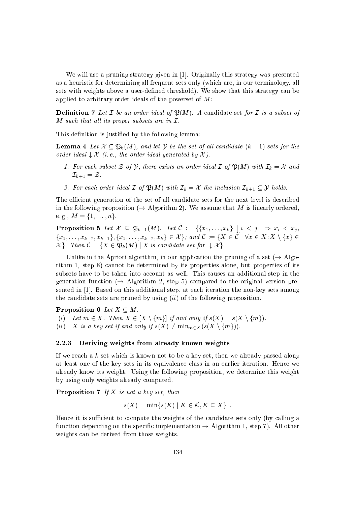We will use a pruning strategy given in [1]. Originally this strategy was presented as a heuristi for determining all frequent sets only (whi
h are, in our terminology, all sets with weights above a user-defined threshold). We show that this strategy can be applied to arbitrary order ideals of the powerset of M:

**Definition 7** Let  $\mathcal{I}$  be an order ideal of  $\mathfrak{P}(M)$ . A candidate set for  $\mathcal{I}$  is a subset of M such that all its proper subsets are in  $\mathcal{I}.$ 

This definition is justified by the following lemma:

**Lemma 4** Let  $\mathcal{X} \subseteq \mathfrak{P}_k(M)$ , and let Y be the set of all candidate  $(k+1)$ -sets for the order ideal  $\downarrow \mathcal{X}$  (i.e., the order ideal generated by X).

- 1. For each subset Z of Y, there exists an order ideal  $\mathcal I$  of  $\mathfrak P(M)$  with  $\mathcal I_k = \mathcal X$  and  $\mathcal{I}_{k+1} = \mathcal{Z}.$
- 2. For each order ideal  $\mathcal I$  of  $\mathfrak P(M)$  with  $\mathcal I_k = \mathcal X$  the inclusion  $\mathcal I_{k+1} \subseteq \mathcal Y$  holds.

The efficient generation of the set of all candidate sets for the next level is described in the following proposition ( $\rightarrow$  Algorithm 2). We assume that M is linearly ordered, e. g.,  $M = \{1, \ldots, n\}.$ 

**Proposition 5** Let  $\mathcal{X} \subseteq \mathfrak{P}_{k-1}(M)$ . Let  $\widetilde{\mathcal{C}} := \{ \{x_1, \ldots, x_k\} \mid i < j \implies x_i < x_j, \}$  $\{x_1,\ldots,x_{k-2},x_{k-1}\},\{x_1,\ldots,x_{k-2},x_k\}\in\mathcal{X}\}$ ; and  $\mathcal{C}:=\{X\in\widetilde{\mathcal{C}}\mid\forall x\in X:X\setminus\{x\}\in\mathcal{X}\}$  $\alpha$  is the set of  $\alpha$  . Then  $\alpha$  is the form  $\alpha$  is the form  $\alpha$  is the set for  $\alpha$  is the set for  $\alpha$ 

Unlike in the Apriori algorithm, in our application the pruning of a set  $(\rightarrow$  Algorithm 1, step 8) annot be determined by its properties alone, but properties of its subsets have to be taken into account as well. This causes an additional step in the generation function ( $\rightarrow$  Algorithm 2, step 5) compared to the original version presented in  $[1]$ . Based on this additional step, at each iteration the non-key sets among the candidate sets are pruned by using  $(ii)$  of the following proposition.

Proposition 6 Let  $X \subseteq M$ .

(i) Let  $m \in X$ . Then  $X \in [X \setminus \{m\}]$  if and only if  $s(X) = s(X \setminus \{m\}).$ (ii) X is a key set if and only if  $s(X) \neq \min_{m \in X} (s(X \setminus \{m\}))$ .

#### 2.2.3 Deriving weights from already known weights

If we rea
h a k-set whi
h is known not to be a key set, then we already passed along at least one of the key sets in its equivalen
e lass in an earlier iteration. Hen
e we already know its weight. Using the following proposition, we determine this weight by using only weights already omputed.

**Proposition 7** If  $X$  is not a key set, then

$$
s(X) = \min\{s(K) \mid K \in \mathcal{K}, K \subseteq X\} .
$$

Hence it is sufficient to compute the weights of the candidate sets only (by calling a function depending on the specific implementation  $\rightarrow$  Algorithm 1, step 7). All other weights can be derived from those weights.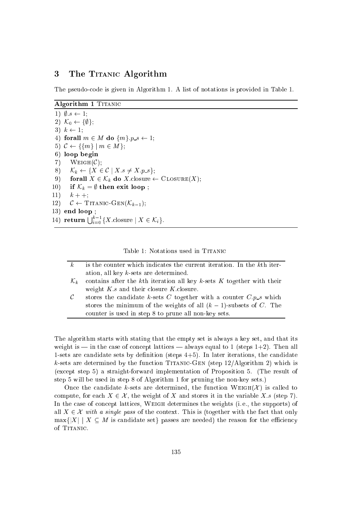# 3 The TITANIC Algorithm

The pseudoode is given in Algorithm 1. A list of notations is provided in Table 1.

Algorithm 1 TITANIC

1)  $\emptyset$ .s  $\leftarrow$  1; 2)  $\mathcal{K}_0 \leftarrow {\emptyset};$ 3)  $k \leftarrow 1$ ; 4) forall  $m \in M$  do  $\{m\}.p\_s \leftarrow 1;$ 5)  $C \leftarrow \{\{m\} \mid m \in M\};$ 6) loop begin 7) WEIGH $(\mathcal{C});$ 8)  $\mathcal{K}_k \leftarrow \{ X \in \mathcal{C} \mid X.s \neq X.p.s \};$ 9) forall  $X \in \mathcal{K}_k$  do X.closure  $\leftarrow$  CLOSURE $(X)$ ; 10) if  $\mathcal{K}_k = \emptyset$  then exit loop; 11)  $k + +$ ; 12)  $C \leftarrow \text{TTANIC-GEN}(\mathcal{K}_{k-1});$ 13) end loop ; 14) return  $\bigcup_{i=0}^{\kappa-1} \{X$ .closure  $X \in \mathcal{K}_i\}$ .

Table 1: Notations used in TITANIC

| $\kappa$          | is the counter which indicates the current iteration. In the k <sup>th</sup> iter-     |
|-------------------|----------------------------------------------------------------------------------------|
|                   | ation, all key $k$ -sets are determined.                                               |
| $\mathcal{K}_{k}$ | contains after the k <sup>th</sup> iteration all key $k$ -sets $K$ together with their |
|                   | weight $K.s$ and their closure K.closure.                                              |
| $\mathcal{C}$     | stores the candidate k-sets C together with a counter $C.p_{\mathbf{-}s}$ which        |
|                   | stores the minimum of the weights of all $(k-1)$ -subsets of C. The                    |
|                   | counter is used in step 8 to prune all non-key sets.                                   |

The algorithm starts with stating that the empty set is always a key set, and that its weight is  $-$  in the case of concept lattices  $-$  always equal to 1 (steps 1+2). Then all 1-sets are candidate sets by definition (steps  $4+5$ ). In later iterations, the candidate  $k$ -sets are determined by the function TITANIC-GEN (step 12/Algorithm 2) which is (ex
ept step 5) a straight-forward implementation of Proposition 5. (The result of step 5 will be used in step 8 of Algorithm 1 for pruning the non-key sets.)

Once the candidate k-sets are determined, the function WEIGH( $\mathcal{X}$ ) is called to compute, for each  $X \in \mathcal{X}$ , the weight of X and stores it in the variable X.s (step 7). In the case of concept lattices, WEIGH determines the weights (i.e., the supports) of all  $X \in \mathcal{X}$  with a single pass of the context. This is (together with the fact that only  $\max\{|X| \mid X \subseteq M \text{ is candidate set}\}\$  passes are needed) the reason for the efficiency of TITANIC.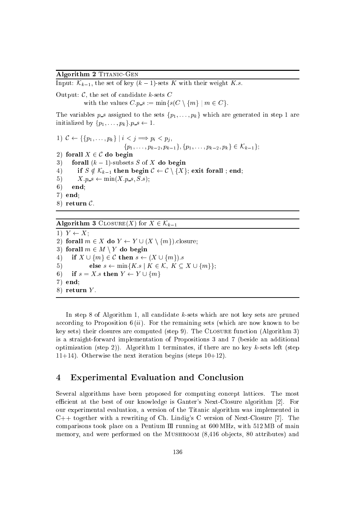# Algorithm 2 TITANIC-GEN

Input:  $\mathcal{K}_{k-1}$ , the set of key  $(k-1)$ -sets K with their weight K.s.

Output:  $C$ , the set of candidate k-sets  $C$ 

with the values  $C.p.s := \min\{s(C \setminus \{m\} \mid m \in C\}.$ 

The variables  $p\_s$  assigned to the sets  $\{p_1, \ldots, p_k\}$  which are generated in step 1 are initialized by  $\{p_1, \ldots, p_k\}$ .  $p_s \leftarrow 1$ .

1) 
$$
\mathcal{C} \leftarrow \{\{p_1, \ldots, p_k\} \mid i < j \implies p_i < p_j, \{p_1, \ldots, p_{k-2}, p_{k-1}\}, \{p_1, \ldots, p_{k-2}, p_k\} \in \mathcal{K}_{k-1}\};
$$
\n2) **for all**  $X \in \mathcal{C}$  **do begin**\n3) **for all**  $(k-1)$ -subsets  $S$  of  $X$  **do begin**\n4) **if**  $S \notin \mathcal{K}_{k-1}$  **then begin**  $\mathcal{C} \leftarrow \mathcal{C} \setminus \{X\};$  **exit forall**; **end**;  $X.p.s \leftarrow \min(X.p.s, S.s);$ \n6) **end**; **end**; **end**; **end**; **end**; **end**; **return**  $\mathcal{C}$ .

# **Algorithm 3** CLOSURE(X) for  $X \in \mathcal{K}_{k-1}$

1)  $Y \leftarrow X$ ; 2) forall  $m \in X$  do  $Y \leftarrow Y \cup (X \setminus \{m\})$ . closure; 3) forall  $m \in M \setminus Y$  do begin 4) if  $X \cup \{m\} \in \mathcal{C}$  then  $s \leftarrow (X \cup \{m\}).s$ 5) else  $s \leftarrow \min\{K.s \mid K \in \mathcal{K}, K \subseteq X \cup \{m\}\};$ 6) if  $s = X.s$  then  $Y \leftarrow Y \cup \{m\}$ 7) end; 8) return  $Y$ .

In step 8 of Algorithm 1, all andidate k-sets whi
h are not key sets are pruned according to Proposition  $6(ii)$ . For the remaining sets (which are now known to be key sets) their closures are computed (step 9). The CLOSURE function (Algorithm 3) is a straight-forward implementation of Propositions 3 and 7 (beside an additional optimization (step 2)). Algorithm 1 terminates, if there are no key  $k$ -sets left (step 11+14). Otherwise the next iteration begins (steps  $10+12$ ).

# 4 Experimental Evaluation and Con
lusion

Several algorithms have been proposed for computing concept lattices. The most efficient at the best of our knowledge is Ganter's Next-Closure algorithm [2]. For our experimental evaluation, a version of the Titani algorithm was implemented in  $C++$  together with a rewriting of Ch. Lindig's C version of Next-Closure [7]. The comparisons took place on a Pentium  $III$  running at 600 MHz, with 512 MB of main memory, and were performed on the MUSHROOM (8,416 objects, 80 attributes) and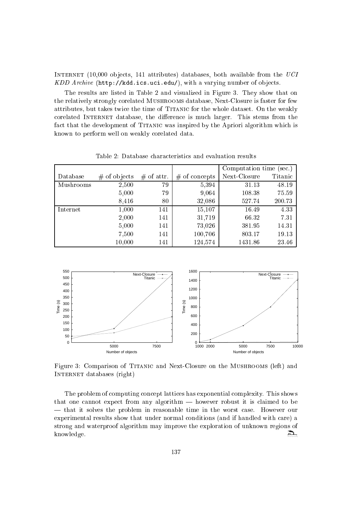Internet (10,000 ob je
ts, 141 attributes) databases, both available from the UCI KDD Archive (http://kdd.ics.uci.edu/), with a varying number of objects.

The results are listed in Table 2 and visualized in Figure 3. They show that on the relatively strongly orelated Mushrooms database, Next-Closure is faster for few attributes, but takes twice the time of TITANIC for the whole dataset. On the weakly corelated INTERNET database, the difference is much larger. This stems from the fact that the development of TITANIC was inspired by the Apriori algorithm which is known to perform well on weakly orelated data.

|           |                |              |                 | Computation time (sec.) |         |  |
|-----------|----------------|--------------|-----------------|-------------------------|---------|--|
| Database  | $#$ of objects | $#$ of attr. | $#$ of concepts | Next-Closure            | Titanic |  |
| Mushrooms | 2,500          | 79           | 5,394           | 31.13                   | 48.19   |  |
|           | 5,000          | 79           | 9,064           | 108.38                  | 75.59   |  |
|           | 8,416          | 80           | 32,086          | 527.74                  | 200.73  |  |
| Internet  | 1,000          | 141          | 15,107          | 16.49                   | 4.33    |  |
|           | 2,000          | 141          | 31,719          | 66.32                   | 7.31    |  |
|           | 5,000          | 141          | 73,026          | 381.95                  | 14.31   |  |
|           | 7,500          | 141          | 100,706         | 803.17                  | 19.13   |  |
|           | 10,000         | 141          | 124,574         | 1431.86                 | 23.46   |  |

Table 2: Database hara
teristi
s and evaluation results



Figure 3: Comparison of TITANIC and Next-Closure on the MUSHROOMS (left) and Internet databases (right)

The problem of computing concept lattices has exponential complexity. This shows that one cannot expect from any algorithm — however robust it is claimed to be | that it solves the problem in reasonable time in the worst ase. However our experimental results show that under normal onditions (and if handled with are) a strong and waterproof algorithm may improve the exploration of unknown regions of Д, knowledge.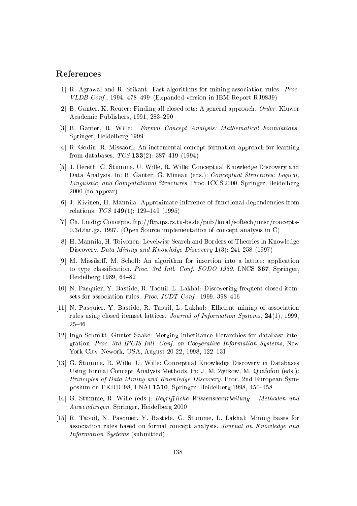# References

- [1] R. Agrawal and R. Srikant. Fast algorithms for mining association rules. *Proc. VLDB Conf.*, 1994, 478–499 (Expanded version in IBM Report RJ9839)
- [2] B. Ganter, K. Reuter: Finding all closed sets: A general approach. Order. Kluwer Academic Publishers, 1991, 283-290
- [3] B. Ganter, R. Wille: Formal Concept Analysis: Mathematical Foundations. Springer, Heidelberg 1999
- [4] R. Godin, R. Missaoui: An incremental concept formation approach for learning from databases.  $TCS$  133(2): 387-419 (1994)
- [5] J. Hereth, G. Stumme, U. Wille, R. Wille: Conceptual Knowledge Discovery and Data Analysis. In: B. Ganter, G. Mineau (eds.): Conceptual Structures: Logical, Linguistic, and Computational Structures. Proc. ICCS 2000. Springer, Heidelberg  $2000$  (to appear)
- [6] J. Kivinen, H. Mannila: Approximate inference of functional dependencies from relations.  $TCS$  149(1): 129-149 (1995)
- [7] Ch. Lindig: Concepts. ftp://ftp.ips.cs.tu-bs.de/pub/local/softech/misc/concepts-0.3d.tar.gz, 1997. (Open Source implementation of concept analysis in C)
- [8] H. Mannila, H. Toivonen: Levelwise Search and Borders of Theories in Knowledge Discovery. Data Mining and Knowledge Discovery 1(3): 241-258 (1997)
- [9] M. Missikoff, M. Scholl: An algorithm for insertion into a lattice: application to type classification. Proc. 3rd Intl. Conf. FODO 1989. LNCS 367, Springer, Heidelberg 1989, 64-82
- [10] N. Pasquier, Y. Bastide, R. Taouil, L. Lakhal: Discovering frequent closed itemsets for association rules. *Proc. ICDT Conf.*, 1999, 398-416
- [11] N. Pasquier, Y. Bastide, R. Taouil, L. Lakhal: Efficient mining of association rules using closed itemset lattices. Journal of Information Systems, 24(1), 1999,  $25 - 46$
- [12] Ingo Schmitt, Gunter Saake: Merging inheritance hierarchies for database integration. Proc. 3rd IFCIS Intl. Conf. on Cooperative Information Systems, New York City, Nework, USA, August 20-22, 1998, 122-131
- [13] G. Stumme, R. Wille, U. Wille: Conceptual Knowledge Discovery in Databases Using Formal Concept Analysis Methods. In: J. M. Zytkow, M. Quafofou (eds.): Principles of Data Mining and Knowledge Discovery. Proc. 2nd European Symposium on PKDD '98, LNAI 1510, Springer, Heidelberg 1998, 450-458
- [14] G. Stumme, R. Wille (eds.): Begriff liche Wissensverarbeitung Methoden und Anwendungen. Springer, Heidelberg 2000
- [15] R. Taouil, N. Pasquier, Y. Bastide, G. Stumme, L. Lakhal: Mining bases for association rules based on formal concept analysis. Journal on Knowledge and *Information Systems* (submitted)